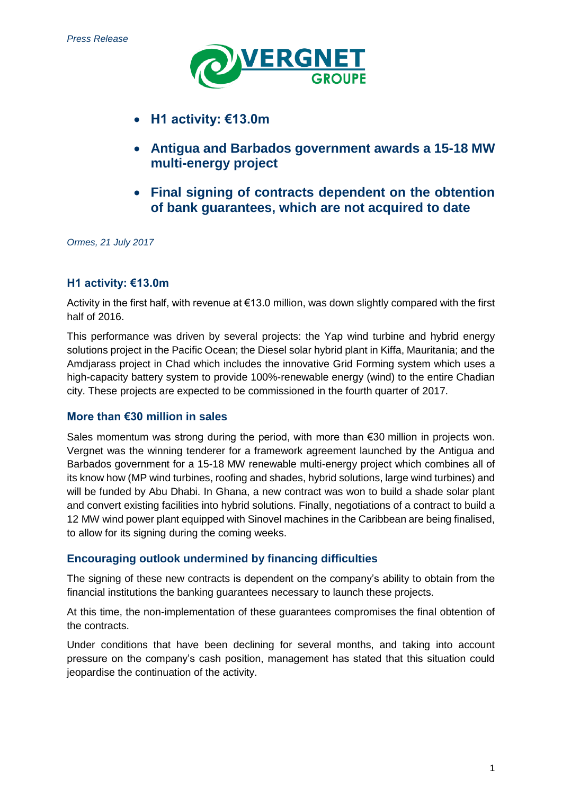

- **H1 activity: €13.0m**
- **Antigua and Barbados government awards a 15-18 MW multi-energy project**
- **Final signing of contracts dependent on the obtention of bank guarantees, which are not acquired to date**

*Ormes, 21 July 2017*

# **H1 activity: €13.0m**

Activity in the first half, with revenue at €13.0 million, was down slightly compared with the first half of 2016.

This performance was driven by several projects: the Yap wind turbine and hybrid energy solutions project in the Pacific Ocean; the Diesel solar hybrid plant in Kiffa, Mauritania; and the Amdjarass project in Chad which includes the innovative Grid Forming system which uses a high-capacity battery system to provide 100%-renewable energy (wind) to the entire Chadian city. These projects are expected to be commissioned in the fourth quarter of 2017.

# **More than €30 million in sales**

Sales momentum was strong during the period, with more than €30 million in projects won. Vergnet was the winning tenderer for a framework agreement launched by the Antigua and Barbados government for a 15-18 MW renewable multi-energy project which combines all of its know how (MP wind turbines, roofing and shades, hybrid solutions, large wind turbines) and will be funded by Abu Dhabi. In Ghana, a new contract was won to build a shade solar plant and convert existing facilities into hybrid solutions. Finally, negotiations of a contract to build a 12 MW wind power plant equipped with Sinovel machines in the Caribbean are being finalised, to allow for its signing during the coming weeks.

# **Encouraging outlook undermined by financing difficulties**

The signing of these new contracts is dependent on the company's ability to obtain from the financial institutions the banking guarantees necessary to launch these projects.

At this time, the non-implementation of these guarantees compromises the final obtention of the contracts.

Under conditions that have been declining for several months, and taking into account pressure on the company's cash position, management has stated that this situation could jeopardise the continuation of the activity.